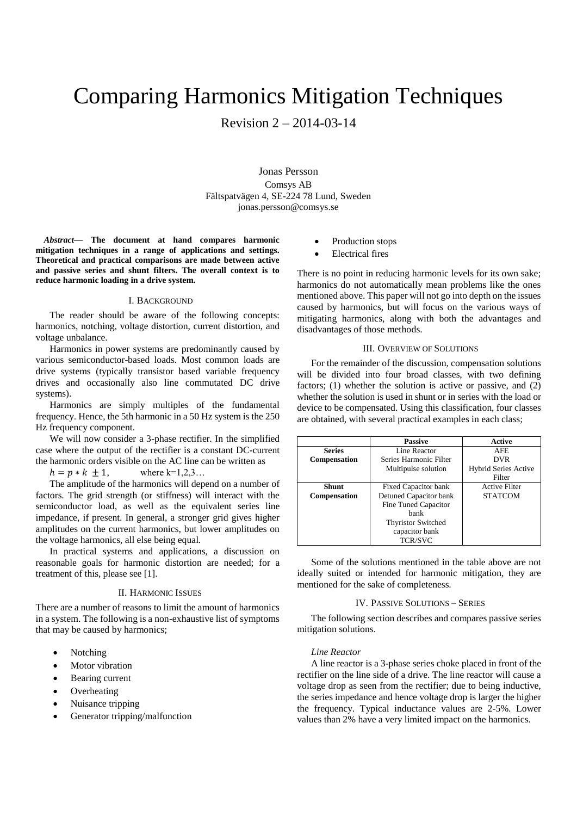# Comparing Harmonics Mitigation Techniques

Revision 2 – 2014-03-14

#### Jonas Persson

Comsys AB Fältspatvägen 4, SE-224 78 Lund, Sweden jonas.persson@comsys.se

*Abstract***— The document at hand compares harmonic mitigation techniques in a range of applications and settings. Theoretical and practical comparisons are made between active and passive series and shunt filters. The overall context is to reduce harmonic loading in a drive system.** 

#### I. BACKGROUND

The reader should be aware of the following concepts: harmonics, notching, voltage distortion, current distortion, and voltage unbalance.

Harmonics in power systems are predominantly caused by various semiconductor-based loads. Most common loads are drive systems (typically transistor based variable frequency drives and occasionally also line commutated DC drive systems).

Harmonics are simply multiples of the fundamental frequency. Hence, the 5th harmonic in a 50 Hz system is the 250 Hz frequency component.

We will now consider a 3-phase rectifier. In the simplified case where the output of the rectifier is a constant DC-current the harmonic orders visible on the AC line can be written as

 $h = p * k + 1$ , where k=1,2,3...

The amplitude of the harmonics will depend on a number of factors. The grid strength (or stiffness) will interact with the semiconductor load, as well as the equivalent series line impedance, if present. In general, a stronger grid gives higher amplitudes on the current harmonics, but lower amplitudes on the voltage harmonics, all else being equal.

In practical systems and applications, a discussion on reasonable goals for harmonic distortion are needed; for a treatment of this, please see [1].

#### II. HARMONIC ISSUES

There are a number of reasons to limit the amount of harmonics in a system. The following is a non-exhaustive list of symptoms that may be caused by harmonics;

- Notching
- Motor vibration
- Bearing current
- Overheating
- Nuisance tripping
- Generator tripping/malfunction
- Production stops
- Electrical fires

There is no point in reducing harmonic levels for its own sake; harmonics do not automatically mean problems like the ones mentioned above. This paper will not go into depth on the issues caused by harmonics, but will focus on the various ways of mitigating harmonics, along with both the advantages and disadvantages of those methods.

#### III. OVERVIEW OF SOLUTIONS

For the remainder of the discussion, compensation solutions will be divided into four broad classes, with two defining factors; (1) whether the solution is active or passive, and (2) whether the solution is used in shunt or in series with the load or device to be compensated. Using this classification, four classes are obtained, with several practical examples in each class;

|                     | <b>Passive</b>                       | Active                      |  |  |
|---------------------|--------------------------------------|-----------------------------|--|--|
| <b>Series</b>       | Line Reactor                         | AFE.                        |  |  |
| <b>Compensation</b> | Series Harmonic Filter<br><b>DVR</b> |                             |  |  |
|                     | Multipulse solution                  | <b>Hybrid Series Active</b> |  |  |
|                     |                                      | Filter                      |  |  |
| <b>Shunt</b>        | Fixed Capacitor bank                 | <b>Active Filter</b>        |  |  |
| <b>Compensation</b> | Detuned Capacitor bank               | <b>STATCOM</b>              |  |  |
|                     | Fine Tuned Capacitor                 |                             |  |  |
|                     | hank                                 |                             |  |  |
|                     | <b>Thyristor Switched</b>            |                             |  |  |
|                     | capacitor bank                       |                             |  |  |
|                     | <b>TCR/SVC</b>                       |                             |  |  |

Some of the solutions mentioned in the table above are not ideally suited or intended for harmonic mitigation, they are mentioned for the sake of completeness.

## IV. PASSIVE SOLUTIONS – SERIES

The following section describes and compares passive series mitigation solutions.

## *Line Reactor*

A line reactor is a 3-phase series choke placed in front of the rectifier on the line side of a drive. The line reactor will cause a voltage drop as seen from the rectifier; due to being inductive, the series impedance and hence voltage drop is larger the higher the frequency. Typical inductance values are 2-5%. Lower values than 2% have a very limited impact on the harmonics.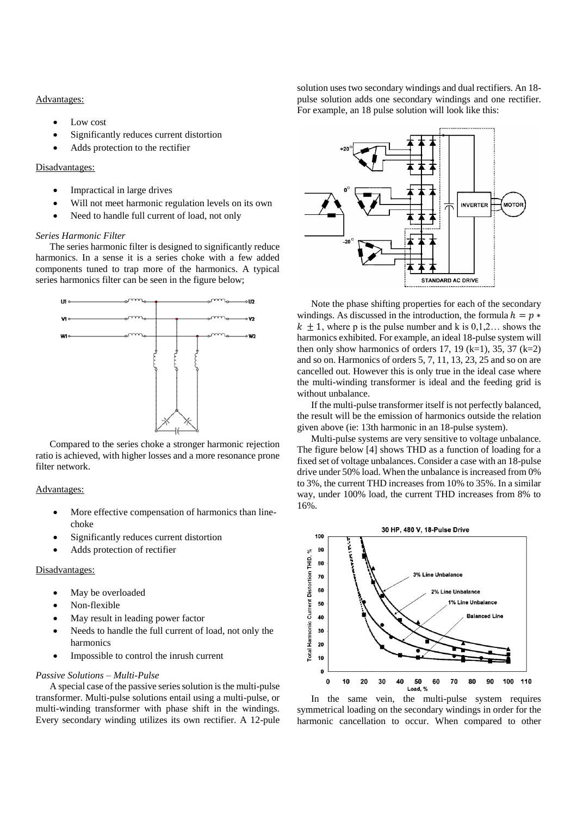#### Advantages:

- Low cost
- Significantly reduces current distortion
- Adds protection to the rectifier

# Disadvantages:

- Impractical in large drives
- Will not meet harmonic regulation levels on its own
- Need to handle full current of load, not only

#### *Series Harmonic Filter*

The series harmonic filter is designed to significantly reduce harmonics. In a sense it is a series choke with a few added components tuned to trap more of the harmonics. A typical series harmonics filter can be seen in the figure below;



Compared to the series choke a stronger harmonic rejection ratio is achieved, with higher losses and a more resonance prone filter network.

# Advantages:

- More effective compensation of harmonics than linechoke
- Significantly reduces current distortion
- Adds protection of rectifier

# Disadvantages:

- May be overloaded
- Non-flexible
- May result in leading power factor
- Needs to handle the full current of load, not only the harmonics
- Impossible to control the inrush current

# *Passive Solutions – Multi-Pulse*

A special case of the passive series solution is the multi-pulse transformer. Multi-pulse solutions entail using a multi-pulse, or multi-winding transformer with phase shift in the windings. Every secondary winding utilizes its own rectifier. A 12-pule solution uses two secondary windings and dual rectifiers. An 18 pulse solution adds one secondary windings and one rectifier. For example, an 18 pulse solution will look like this:



Note the phase shifting properties for each of the secondary windings. As discussed in the introduction, the formula  $h = p *$  $k + 1$ , where p is the pulse number and k is 0,1,2, shows the harmonics exhibited. For example, an ideal 18-pulse system will then only show harmonics of orders 17, 19 (k=1), 35, 37 (k=2) and so on. Harmonics of orders 5, 7, 11, 13, 23, 25 and so on are cancelled out. However this is only true in the ideal case where the multi-winding transformer is ideal and the feeding grid is without unbalance.

If the multi-pulse transformer itself is not perfectly balanced, the result will be the emission of harmonics outside the relation given above (ie: 13th harmonic in an 18-pulse system).

Multi-pulse systems are very sensitive to voltage unbalance. The figure below [4] shows THD as a function of loading for a fixed set of voltage unbalances. Consider a case with an 18-pulse drive under 50% load. When the unbalance is increased from 0% to 3%, the current THD increases from 10% to 35%. In a similar way, under 100% load, the current THD increases from 8% to 16%.



In the same vein, the multi-pulse system requires symmetrical loading on the secondary windings in order for the harmonic cancellation to occur. When compared to other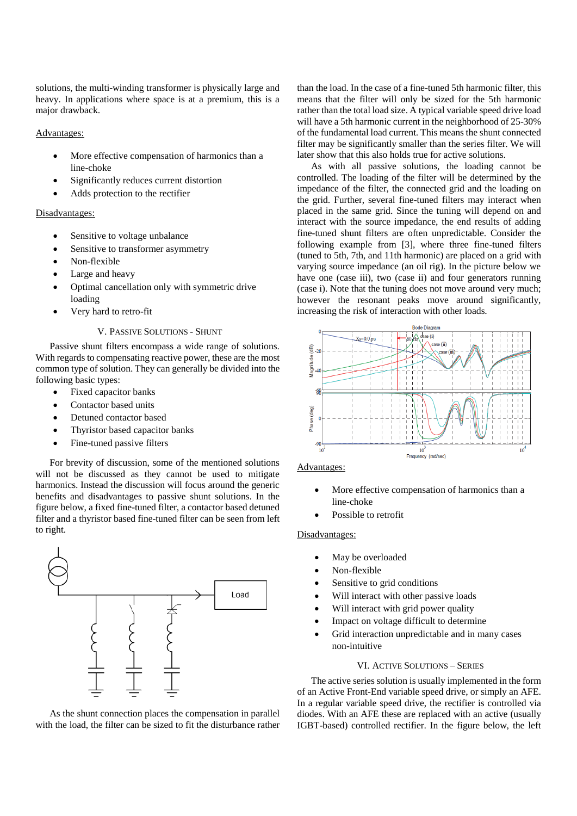solutions, the multi-winding transformer is physically large and heavy. In applications where space is at a premium, this is a major drawback.

# Advantages:

- More effective compensation of harmonics than a line-choke
- Significantly reduces current distortion
- Adds protection to the rectifier

# Disadvantages:

- Sensitive to voltage unbalance
- Sensitive to transformer asymmetry
- Non-flexible
- Large and heavy
- Optimal cancellation only with symmetric drive loading
- Very hard to retro-fit

# V. PASSIVE SOLUTIONS - SHUNT

Passive shunt filters encompass a wide range of solutions. With regards to compensating reactive power, these are the most common type of solution. They can generally be divided into the following basic types:

- Fixed capacitor banks
- Contactor based units
- Detuned contactor based
- Thyristor based capacitor banks
- Fine-tuned passive filters

For brevity of discussion, some of the mentioned solutions will not be discussed as they cannot be used to mitigate harmonics. Instead the discussion will focus around the generic benefits and disadvantages to passive shunt solutions. In the figure below, a fixed fine-tuned filter, a contactor based detuned filter and a thyristor based fine-tuned filter can be seen from left to right.



As the shunt connection places the compensation in parallel with the load, the filter can be sized to fit the disturbance rather than the load. In the case of a fine-tuned 5th harmonic filter, this means that the filter will only be sized for the 5th harmonic rather than the total load size. A typical variable speed drive load will have a 5th harmonic current in the neighborhood of 25-30% of the fundamental load current. This means the shunt connected filter may be significantly smaller than the series filter. We will later show that this also holds true for active solutions.

As with all passive solutions, the loading cannot be controlled. The loading of the filter will be determined by the impedance of the filter, the connected grid and the loading on the grid. Further, several fine-tuned filters may interact when placed in the same grid. Since the tuning will depend on and interact with the source impedance, the end results of adding fine-tuned shunt filters are often unpredictable. Consider the following example from [3], where three fine-tuned filters (tuned to 5th, 7th, and 11th harmonic) are placed on a grid with varying source impedance (an oil rig). In the picture below we have one (case iii), two (case ii) and four generators running (case i). Note that the tuning does not move around very much; however the resonant peaks move around significantly, increasing the risk of interaction with other loads.



#### Advantages:

- More effective compensation of harmonics than a line-choke
- Possible to retrofit

# Disadvantages:

- May be overloaded
- Non-flexible
- Sensitive to grid conditions
- Will interact with other passive loads
- Will interact with grid power quality
- Impact on voltage difficult to determine
- Grid interaction unpredictable and in many cases non-intuitive

# VI. ACTIVE SOLUTIONS – SERIES

The active series solution is usually implemented in the form of an Active Front-End variable speed drive, or simply an AFE. In a regular variable speed drive, the rectifier is controlled via diodes. With an AFE these are replaced with an active (usually IGBT-based) controlled rectifier. In the figure below, the left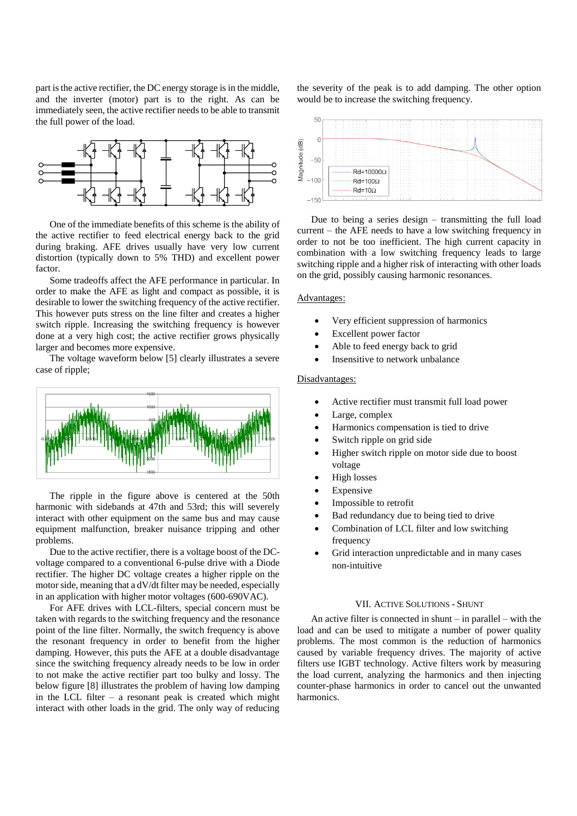part is the active rectifier, the DC energy storage is in the middle, and the inverter (motor) part is to the right. As can be immediately seen, the active rectifier needs to be able to transmit the full power of the load.



One of the immediate benefits of this scheme is the ability of the active rectifier to feed electrical energy back to the grid during braking. AFE drives usually have very low current distortion (typically down to 5% THD) and excellent power factor.

Some tradeoffs affect the AFE performance in particular. In order to make the AFE as light and compact as possible, it is desirable to lower the switching frequency of the active rectifier. This however puts stress on the line filter and creates a higher switch ripple. Increasing the switching frequency is however done at a very high cost; the active rectifier grows physically larger and becomes more expensive.

The voltage waveform below [5] clearly illustrates a severe case of ripple;



The ripple in the figure above is centered at the 50th harmonic with sidebands at 47th and 53rd; this will severely interact with other equipment on the same bus and may cause equipment malfunction, breaker nuisance tripping and other problems.

Due to the active rectifier, there is a voltage boost of the DCvoltage compared to a conventional 6-pulse drive with a Diode rectifier. The higher DC voltage creates a higher ripple on the motor side, meaning that a dV/dt filter may be needed, especially in an application with higher motor voltages (600-690VAC).

For AFE drives with LCL-filters, special concern must be taken with regards to the switching frequency and the resonance point of the line filter. Normally, the switch frequency is above the resonant frequency in order to benefit from the higher damping. However, this puts the AFE at a double disadvantage since the switching frequency already needs to be low in order to not make the active rectifier part too bulky and lossy. The below figure [8] illustrates the problem of having low damping in the LCL filter  $-$  a resonant peak is created which might interact with other loads in the grid. The only way of reducing

the severity of the peak is to add damping. The other option would be to increase the switching frequency.



Due to being a series design – transmitting the full load current – the AFE needs to have a low switching frequency in order to not be too inefficient. The high current capacity in combination with a low switching frequency leads to large switching ripple and a higher risk of interacting with other loads on the grid, possibly causing harmonic resonances.

#### Advantages:

- Very efficient suppression of harmonics
- Excellent power factor
- Able to feed energy back to grid
- Insensitive to network unbalance

## Disadvantages:

- Active rectifier must transmit full load power
- Large, complex
- Harmonics compensation is tied to drive
- Switch ripple on grid side
- Higher switch ripple on motor side due to boost voltage
- High losses
- Expensive
- Impossible to retrofit
- Bad redundancy due to being tied to drive
- Combination of LCL filter and low switching frequency
- Grid interaction unpredictable and in many cases non-intuitive

# VII. ACTIVE SOLUTIONS - SHUNT

An active filter is connected in shunt – in parallel – with the load and can be used to mitigate a number of power quality problems. The most common is the reduction of harmonics caused by variable frequency drives. The majority of active filters use IGBT technology. Active filters work by measuring the load current, analyzing the harmonics and then injecting counter-phase harmonics in order to cancel out the unwanted harmonics.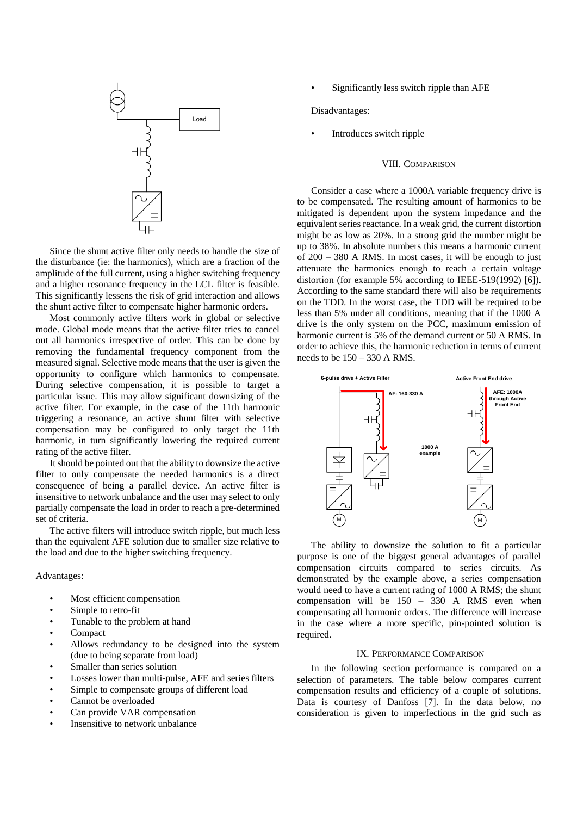

Since the shunt active filter only needs to handle the size of the disturbance (ie: the harmonics), which are a fraction of the amplitude of the full current, using a higher switching frequency and a higher resonance frequency in the LCL filter is feasible. This significantly lessens the risk of grid interaction and allows the shunt active filter to compensate higher harmonic orders.

Most commonly active filters work in global or selective mode. Global mode means that the active filter tries to cancel out all harmonics irrespective of order. This can be done by removing the fundamental frequency component from the measured signal. Selective mode means that the user is given the opportunity to configure which harmonics to compensate. During selective compensation, it is possible to target a particular issue. This may allow significant downsizing of the active filter. For example, in the case of the 11th harmonic triggering a resonance, an active shunt filter with selective compensation may be configured to only target the 11th harmonic, in turn significantly lowering the required current rating of the active filter.

It should be pointed out that the ability to downsize the active filter to only compensate the needed harmonics is a direct consequence of being a parallel device. An active filter is insensitive to network unbalance and the user may select to only partially compensate the load in order to reach a pre-determined set of criteria.

The active filters will introduce switch ripple, but much less than the equivalent AFE solution due to smaller size relative to the load and due to the higher switching frequency.

# Advantages:

- Most efficient compensation
- Simple to retro-fit
- Tunable to the problem at hand
- Compact
- Allows redundancy to be designed into the system (due to being separate from load)
- Smaller than series solution
- Losses lower than multi-pulse, AFE and series filters
- Simple to compensate groups of different load
- Cannot be overloaded
- Can provide VAR compensation
- Insensitive to network unbalance

Significantly less switch ripple than AFE

#### Disadvantages:

• Introduces switch ripple

# VIII. COMPARISON

Consider a case where a 1000A variable frequency drive is to be compensated. The resulting amount of harmonics to be mitigated is dependent upon the system impedance and the equivalent series reactance. In a weak grid, the current distortion might be as low as 20%. In a strong grid the number might be up to 38%. In absolute numbers this means a harmonic current of 200 – 380 A RMS. In most cases, it will be enough to just attenuate the harmonics enough to reach a certain voltage distortion (for example 5% according to IEEE-519(1992) [6]). According to the same standard there will also be requirements on the TDD. In the worst case, the TDD will be required to be less than 5% under all conditions, meaning that if the 1000 A drive is the only system on the PCC, maximum emission of harmonic current is 5% of the demand current or 50 A RMS. In order to achieve this, the harmonic reduction in terms of current needs to be  $150 - 330$  A RMS.



The ability to downsize the solution to fit a particular purpose is one of the biggest general advantages of parallel compensation circuits compared to series circuits. As demonstrated by the example above, a series compensation would need to have a current rating of 1000 A RMS; the shunt compensation will be 150 – 330 A RMS even when compensating all harmonic orders. The difference will increase in the case where a more specific, pin-pointed solution is required.

## IX. PERFORMANCE COMPARISON

In the following section performance is compared on a selection of parameters. The table below compares current compensation results and efficiency of a couple of solutions. Data is courtesy of Danfoss [7]. In the data below, no consideration is given to imperfections in the grid such as